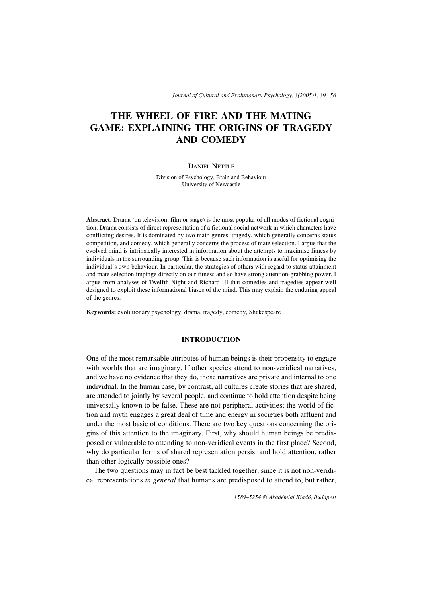# **THE WHEEL OF FIRE AND THE MATING GAME: EXPLAINING THE ORIGINS OF TRAGEDY AND COMEDY**

## DANIEL NETTLE

Division of Psychology, Brain and Behaviour University of Newcastle

**Abstract.** Drama (on television, film or stage) is the most popular of all modes of fictional cognition. Drama consists of direct representation of a fictional social network in which characters have conflicting desires. It is dominated by two main genres: tragedy, which generally concerns status competition, and comedy, which generally concerns the process of mate selection. I argue that the evolved mind is intrinsically interested in information about the attempts to maximise fitness by individuals in the surrounding group. This is because such information is useful for optimising the individual's own behaviour. In particular, the strategies of others with regard to status attainment and mate selection impinge directly on our fitness and so have strong attention-grabbing power. I argue from analyses of Twelfth Night and Richard III that comedies and tragedies appear well designed to exploit these informational biases of the mind. This may explain the enduring appeal of the genres.

**Keywords:** evolutionary psychology, drama, tragedy, comedy, Shakespeare

# **INTRODUCTION**

One of the most remarkable attributes of human beings is their propensity to engage with worlds that are imaginary. If other species attend to non-veridical narratives, and we have no evidence that they do, those narratives are private and internal to one individual. In the human case, by contrast, all cultures create stories that are shared, are attended to jointly by several people, and continue to hold attention despite being universally known to be false. These are not peripheral activities; the world of fiction and myth engages a great deal of time and energy in societies both affluent and under the most basic of conditions. There are two key questions concerning the origins of this attention to the imaginary. First, why should human beings be predisposed or vulnerable to attending to non-veridical events in the first place? Second, why do particular forms of shared representation persist and hold attention, rather than other logically possible ones?

The two questions may in fact be best tackled together, since it is not non-veridical representations *in general* that humans are predisposed to attend to, but rather,

*1589–5254 © Akadémiai Kiadó, Budapest*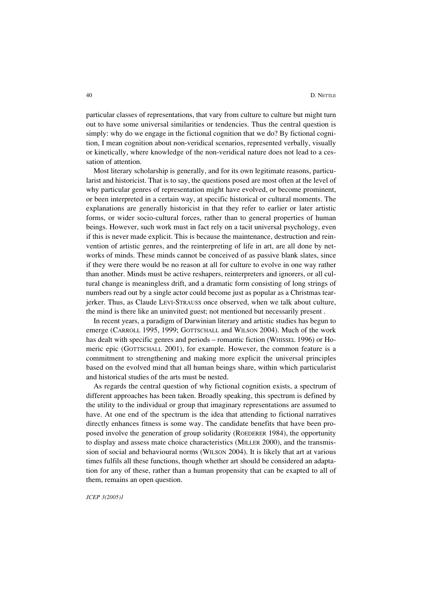particular classes of representations, that vary from culture to culture but might turn out to have some universal similarities or tendencies. Thus the central question is simply: why do we engage in the fictional cognition that we do? By fictional cognition, I mean cognition about non-veridical scenarios, represented verbally, visually or kinetically, where knowledge of the non-veridical nature does not lead to a cessation of attention.

Most literary scholarship is generally, and for its own legitimate reasons, particularist and historicist. That is to say, the questions posed are most often at the level of why particular genres of representation might have evolved, or become prominent, or been interpreted in a certain way, at specific historical or cultural moments. The explanations are generally historicist in that they refer to earlier or later artistic forms, or wider socio-cultural forces, rather than to general properties of human beings. However, such work must in fact rely on a tacit universal psychology, even if this is never made explicit. This is because the maintenance, destruction and reinvention of artistic genres, and the reinterpreting of life in art, are all done by networks of minds. These minds cannot be conceived of as passive blank slates, since if they were there would be no reason at all for culture to evolve in one way rather than another. Minds must be active reshapers, reinterpreters and ignorers, or all cultural change is meaningless drift, and a dramatic form consisting of long strings of numbers read out by a single actor could become just as popular as a Christmas tearjerker. Thus, as Claude LEVI-STRAUSS once observed, when we talk about culture, the mind is there like an uninvited guest; not mentioned but necessarily present .

In recent years, a paradigm of Darwinian literary and artistic studies has begun to emerge (CARROLL 1995, 1999; GOTTSCHALL and WILSON 2004). Much of the work has dealt with specific genres and periods – romantic fiction (WHISSEL 1996) or Homeric epic (GOTTSCHALL 2001), for example. However, the common feature is a commitment to strengthening and making more explicit the universal principles based on the evolved mind that all human beings share, within which particularist and historical studies of the arts must be nested.

As regards the central question of why fictional cognition exists, a spectrum of different approaches has been taken. Broadly speaking, this spectrum is defined by the utility to the individual or group that imaginary representations are assumed to have. At one end of the spectrum is the idea that attending to fictional narratives directly enhances fitness is some way. The candidate benefits that have been proposed involve the generation of group solidarity (ROEDERER 1984), the opportunity to display and assess mate choice characteristics (MILLER 2000), and the transmission of social and behavioural norms (WILSON 2004). It is likely that art at various times fulfils all these functions, though whether art should be considered an adaptation for any of these, rather than a human propensity that can be exapted to all of them, remains an open question.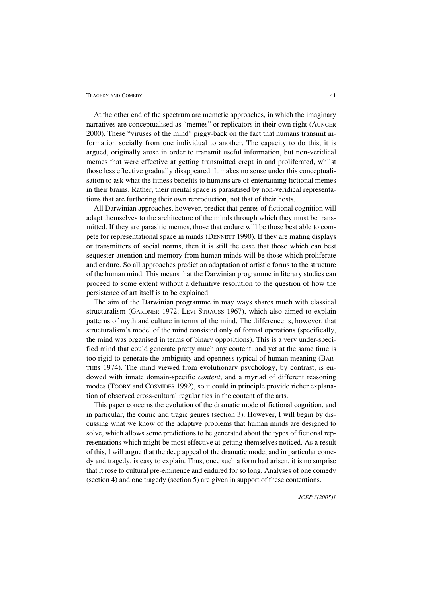At the other end of the spectrum are memetic approaches, in which the imaginary narratives are conceptualised as "memes" or replicators in their own right (AUNGER 2000). These "viruses of the mind" piggy-back on the fact that humans transmit information socially from one individual to another. The capacity to do this, it is argued, originally arose in order to transmit useful information, but non-veridical memes that were effective at getting transmitted crept in and proliferated, whilst those less effective gradually disappeared. It makes no sense under this conceptualisation to ask what the fitness benefits to humans are of entertaining fictional memes in their brains. Rather, their mental space is parasitised by non-veridical representations that are furthering their own reproduction, not that of their hosts.

All Darwinian approaches, however, predict that genres of fictional cognition will adapt themselves to the architecture of the minds through which they must be transmitted. If they are parasitic memes, those that endure will be those best able to compete for representational space in minds (DENNETT 1990). If they are mating displays or transmitters of social norms, then it is still the case that those which can best sequester attention and memory from human minds will be those which proliferate and endure. So all approaches predict an adaptation of artistic forms to the structure of the human mind. This means that the Darwinian programme in literary studies can proceed to some extent without a definitive resolution to the question of how the persistence of art itself is to be explained.

The aim of the Darwinian programme in may ways shares much with classical structuralism (GARDNER 1972; LEVI-STRAUSS 1967), which also aimed to explain patterns of myth and culture in terms of the mind. The difference is, however, that structuralism's model of the mind consisted only of formal operations (specifically, the mind was organised in terms of binary oppositions). This is a very under-specified mind that could generate pretty much any content, and yet at the same time is too rigid to generate the ambiguity and openness typical of human meaning (BAR-THES 1974). The mind viewed from evolutionary psychology, by contrast, is endowed with innate domain-specific *content,* and a myriad of different reasoning modes (TOOBY and COSMIDES 1992), so it could in principle provide richer explanation of observed cross-cultural regularities in the content of the arts.

This paper concerns the evolution of the dramatic mode of fictional cognition, and in particular, the comic and tragic genres (section 3). However, I will begin by discussing what we know of the adaptive problems that human minds are designed to solve, which allows some predictions to be generated about the types of fictional representations which might be most effective at getting themselves noticed. As a result of this, I will argue that the deep appeal of the dramatic mode, and in particular comedy and tragedy, is easy to explain. Thus, once such a form had arisen, it is no surprise that it rose to cultural pre-eminence and endured for so long. Analyses of one comedy (section 4) and one tragedy (section 5) are given in support of these contentions.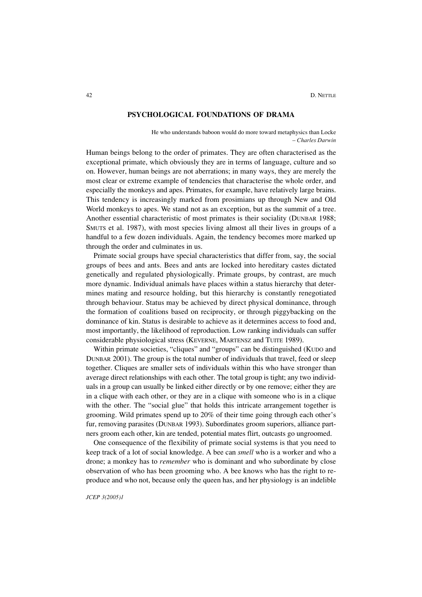### **PSYCHOLOGICAL FOUNDATIONS OF DRAMA**

He who understands baboon would do more toward metaphysics than Locke – *Charles Darwin*

Human beings belong to the order of primates. They are often characterised as the exceptional primate, which obviously they are in terms of language, culture and so on. However, human beings are not aberrations; in many ways, they are merely the most clear or extreme example of tendencies that characterise the whole order, and especially the monkeys and apes. Primates, for example, have relatively large brains. This tendency is increasingly marked from prosimians up through New and Old World monkeys to apes. We stand not as an exception, but as the summit of a tree. Another essential characteristic of most primates is their sociality (DUNBAR 1988; SMUTS et al. 1987), with most species living almost all their lives in groups of a handful to a few dozen individuals. Again, the tendency becomes more marked up through the order and culminates in us.

Primate social groups have special characteristics that differ from, say, the social groups of bees and ants. Bees and ants are locked into hereditary castes dictated genetically and regulated physiologically. Primate groups, by contrast, are much more dynamic. Individual animals have places within a status hierarchy that determines mating and resource holding, but this hierarchy is constantly renegotiated through behaviour. Status may be achieved by direct physical dominance, through the formation of coalitions based on reciprocity, or through piggybacking on the dominance of kin. Status is desirable to achieve as it determines access to food and, most importantly, the likelihood of reproduction. Low ranking individuals can suffer considerable physiological stress (KEVERNE, MARTENSZ and TUITE 1989).

Within primate societies, "cliques" and "groups" can be distinguished (KUDO and DUNBAR 2001). The group is the total number of individuals that travel, feed or sleep together. Cliques are smaller sets of individuals within this who have stronger than average direct relationships with each other. The total group is tight; any two individuals in a group can usually be linked either directly or by one remove; either they are in a clique with each other, or they are in a clique with someone who is in a clique with the other. The "social glue" that holds this intricate arrangement together is grooming. Wild primates spend up to 20% of their time going through each other's fur, removing parasites (DUNBAR 1993). Subordinates groom superiors, alliance partners groom each other, kin are tended, potential mates flirt, outcasts go ungroomed.

One consequence of the flexibility of primate social systems is that you need to keep track of a lot of social knowledge. A bee can *smell* who is a worker and who a drone; a monkey has to *remember* who is dominant and who subordinate by close observation of who has been grooming who. A bee knows who has the right to reproduce and who not, because only the queen has, and her physiology is an indelible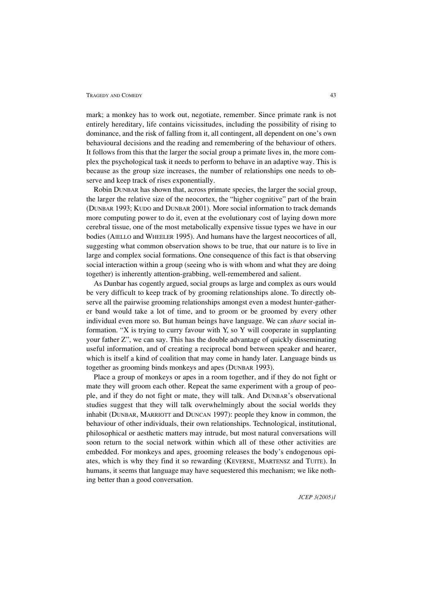mark; a monkey has to work out, negotiate, remember. Since primate rank is not entirely hereditary, life contains vicissitudes, including the possibility of rising to dominance, and the risk of falling from it, all contingent, all dependent on one's own behavioural decisions and the reading and remembering of the behaviour of others. It follows from this that the larger the social group a primate lives in, the more complex the psychological task it needs to perform to behave in an adaptive way. This is because as the group size increases, the number of relationships one needs to observe and keep track of rises exponentially.

Robin DUNBAR has shown that, across primate species, the larger the social group, the larger the relative size of the neocortex, the "higher cognitive" part of the brain (DUNBAR 1993; KUDO and DUNBAR 2001). More social information to track demands more computing power to do it, even at the evolutionary cost of laying down more cerebral tissue, one of the most metabolically expensive tissue types we have in our bodies (AIELLO and WHEELER 1995). And humans have the largest neocortices of all, suggesting what common observation shows to be true, that our nature is to live in large and complex social formations. One consequence of this fact is that observing social interaction within a group (seeing who is with whom and what they are doing together) is inherently attention-grabbing, well-remembered and salient.

As Dunbar has cogently argued, social groups as large and complex as ours would be very difficult to keep track of by grooming relationships alone. To directly observe all the pairwise grooming relationships amongst even a modest hunter-gatherer band would take a lot of time, and to groom or be groomed by every other individual even more so. But human beings have language. We can *share* social information. "X is trying to curry favour with Y, so Y will cooperate in supplanting your father Z", we can say. This has the double advantage of quickly disseminating useful information, and of creating a reciprocal bond between speaker and hearer, which is itself a kind of coalition that may come in handy later. Language binds us together as grooming binds monkeys and apes (DUNBAR 1993).

Place a group of monkeys or apes in a room together, and if they do not fight or mate they will groom each other. Repeat the same experiment with a group of people, and if they do not fight or mate, they will talk. And DUNBAR's observational studies suggest that they will talk overwhelmingly about the social worlds they inhabit (DUNBAR, MARRIOTT and DUNCAN 1997): people they know in common, the behaviour of other individuals, their own relationships. Technological, institutional, philosophical or aesthetic matters may intrude, but most natural conversations will soon return to the social network within which all of these other activities are embedded. For monkeys and apes, grooming releases the body's endogenous opiates, which is why they find it so rewarding (KEVERNE, MARTENSZ and TUITE). In humans, it seems that language may have sequestered this mechanism; we like nothing better than a good conversation.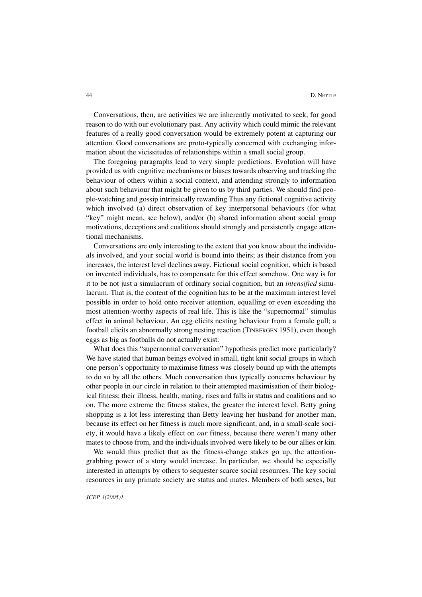Conversations, then, are activities we are inherently motivated to seek, for good reason to do with our evolutionary past. Any activity which could mimic the relevant features of a really good conversation would be extremely potent at capturing our attention. Good conversations are proto-typically concerned with exchanging information about the vicissitudes of relationships within a small social group.

The foregoing paragraphs lead to very simple predictions. Evolution will have provided us with cognitive mechanisms or biases towards observing and tracking the behaviour of others within a social context, and attending strongly to information about such behaviour that might be given to us by third parties. We should find people-watching and gossip intrinsically rewarding Thus any fictional cognitive activity which involved (a) direct observation of key interpersonal behaviours (for what "key" might mean, see below), and/or (b) shared information about social group motivations, deceptions and coalitions should strongly and persistently engage attentional mechanisms.

Conversations are only interesting to the extent that you know about the individuals involved, and your social world is bound into theirs; as their distance from you increases, the interest level declines away. Fictional social cognition, which is based on invented individuals, has to compensate for this effect somehow. One way is for it to be not just a simulacrum of ordinary social cognition, but an *intensified* simulacrum. That is, the content of the cognition has to be at the maximum interest level possible in order to hold onto receiver attention, equalling or even exceeding the most attention-worthy aspects of real life. This is like the "supernormal" stimulus effect in animal behaviour. An egg elicits nesting behaviour from a female gull; a football elicits an abnormally strong nesting reaction (TINBERGEN 1951), even though eggs as big as footballs do not actually exist.

What does this "supernormal conversation" hypothesis predict more particularly? We have stated that human beings evolved in small, tight knit social groups in which one person's opportunity to maximise fitness was closely bound up with the attempts to do so by all the others. Much conversation thus typically concerns behaviour by other people in our circle in relation to their attempted maximisation of their biological fitness; their illness, health, mating, rises and falls in status and coalitions and so on. The more extreme the fitness stakes, the greater the interest level. Betty going shopping is a lot less interesting than Betty leaving her husband for another man, because its effect on her fitness is much more significant, and, in a small-scale society, it would have a likely effect on *our* fitness, because there weren't many other mates to choose from, and the individuals involved were likely to be our allies or kin.

We would thus predict that as the fitness-change stakes go up, the attentiongrabbing power of a story would increase. In particular, we should be especially interested in attempts by others to sequester scarce social resources. The key social resources in any primate society are status and mates. Members of both sexes, but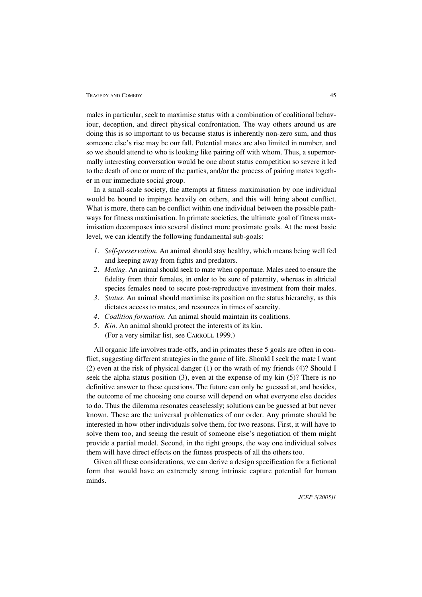males in particular, seek to maximise status with a combination of coalitional behaviour, deception, and direct physical confrontation. The way others around us are doing this is so important to us because status is inherently non-zero sum, and thus someone else's rise may be our fall. Potential mates are also limited in number, and so we should attend to who is looking like pairing off with whom. Thus, a supernormally interesting conversation would be one about status competition so severe it led to the death of one or more of the parties, and/or the process of pairing mates together in our immediate social group.

In a small-scale society, the attempts at fitness maximisation by one individual would be bound to impinge heavily on others, and this will bring about conflict. What is more, there can be conflict within one individual between the possible pathways for fitness maximisation. In primate societies, the ultimate goal of fitness maximisation decomposes into several distinct more proximate goals. At the most basic level, we can identify the following fundamental sub-goals:

- *1. Self-preservation.* An animal should stay healthy, which means being well fed and keeping away from fights and predators.
- *2. Mating.* An animal should seek to mate when opportune. Males need to ensure the fidelity from their females, in order to be sure of paternity, whereas in altricial species females need to secure post-reproductive investment from their males.
- *3. Status.* An animal should maximise its position on the status hierarchy, as this dictates access to mates, and resources in times of scarcity.
- *4. Coalition formation.* An animal should maintain its coalitions.
- *5. Kin.* An animal should protect the interests of its kin. (For a very similar list, see CARROLL 1999.)

All organic life involves trade-offs, and in primates these 5 goals are often in conflict, suggesting different strategies in the game of life. Should I seek the mate I want (2) even at the risk of physical danger (1) or the wrath of my friends (4)? Should I seek the alpha status position  $(3)$ , even at the expense of my kin  $(5)$ ? There is no definitive answer to these questions. The future can only be guessed at, and besides, the outcome of me choosing one course will depend on what everyone else decides to do. Thus the dilemma resonates ceaselessly; solutions can be guessed at but never known. These are the universal problematics of our order. Any primate should be interested in how other individuals solve them, for two reasons. First, it will have to solve them too, and seeing the result of someone else's negotiation of them might provide a partial model. Second, in the tight groups, the way one individual solves them will have direct effects on the fitness prospects of all the others too.

Given all these considerations, we can derive a design specification for a fictional form that would have an extremely strong intrinsic capture potential for human minds.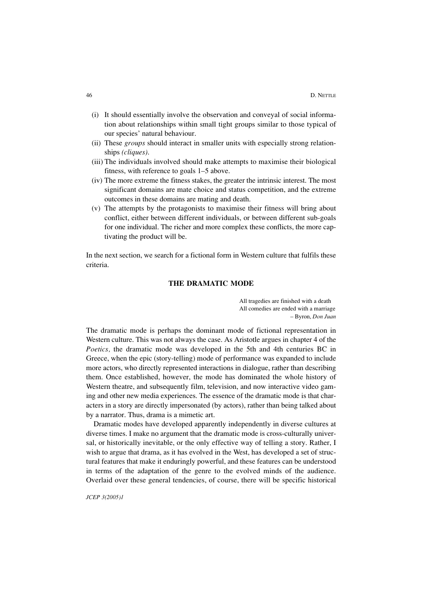- (i) It should essentially involve the observation and conveyal of social information about relationships within small tight groups similar to those typical of our species' natural behaviour.
- (ii) These *groups* should interact in smaller units with especially strong relationships *(cliques)*.
- (iii) The individuals involved should make attempts to maximise their biological fitness, with reference to goals 1–5 above.
- (iv) The more extreme the fitness stakes, the greater the intrinsic interest. The most significant domains are mate choice and status competition, and the extreme outcomes in these domains are mating and death.
- (v) The attempts by the protagonists to maximise their fitness will bring about conflict, either between different individuals, or between different sub-goals for one individual. The richer and more complex these conflicts, the more captivating the product will be.

In the next section, we search for a fictional form in Western culture that fulfils these criteria.

# **THE DRAMATIC MODE**

All tragedies are finished with a death All comedies are ended with a marriage – Byron, *Don Juan*

The dramatic mode is perhaps the dominant mode of fictional representation in Western culture. This was not always the case. As Aristotle argues in chapter 4 of the *Poetics,* the dramatic mode was developed in the 5th and 4th centuries BC in Greece, when the epic (story-telling) mode of performance was expanded to include more actors, who directly represented interactions in dialogue, rather than describing them. Once established, however, the mode has dominated the whole history of Western theatre, and subsequently film, television, and now interactive video gaming and other new media experiences. The essence of the dramatic mode is that characters in a story are directly impersonated (by actors), rather than being talked about by a narrator. Thus, drama is a mimetic art.

Dramatic modes have developed apparently independently in diverse cultures at diverse times. I make no argument that the dramatic mode is cross-culturally universal, or historically inevitable, or the only effective way of telling a story. Rather, I wish to argue that drama, as it has evolved in the West, has developed a set of structural features that make it enduringly powerful, and these features can be understood in terms of the adaptation of the genre to the evolved minds of the audience. Overlaid over these general tendencies, of course, there will be specific historical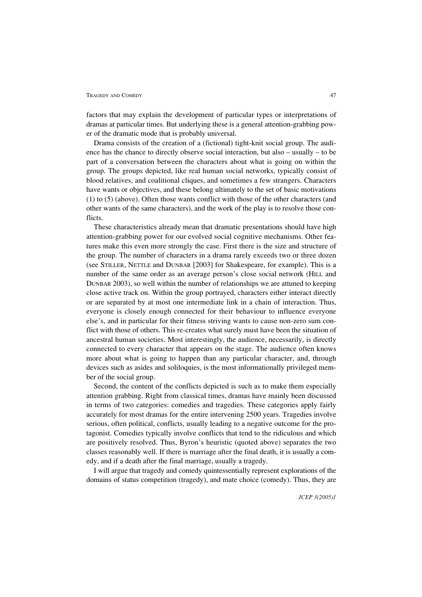factors that may explain the development of particular types or interpretations of dramas at particular times. But underlying these is a general attention-grabbing power of the dramatic mode that is probably universal.

Drama consists of the creation of a (fictional) tight-knit social group. The audience has the chance to directly observe social interaction, but also – usually – to be part of a conversation between the characters about what is going on within the group. The groups depicted, like real human social networks, typically consist of blood relatives, and coalitional cliques, and sometimes a few strangers. Characters have wants or objectives, and these belong ultimately to the set of basic motivations (1) to (5) (above). Often those wants conflict with those of the other characters (and other wants of the same characters), and the work of the play is to resolve those conflicts.

These characteristics already mean that dramatic presentations should have high attention-grabbing power for our evolved social cognitive mechanisms. Other features make this even more strongly the case. First there is the size and structure of the group. The number of characters in a drama rarely exceeds two or three dozen (see STILLER, NETTLE and DUNBAR [2003] for Shakespeare, for example). This is a number of the same order as an average person's close social network (HILL and DUNBAR 2003), so well within the number of relationships we are attuned to keeping close active track on. Within the group portrayed, characters either interact directly or are separated by at most one intermediate link in a chain of interaction. Thus, everyone is closely enough connected for their behaviour to influence everyone else's, and in particular for their fitness striving wants to cause non-zero sum conflict with those of others. This re-creates what surely must have been the situation of ancestral human societies. Most interestingly, the audience, necessarily, is directly connected to every character that appears on the stage. The audience often knows more about what is going to happen than any particular character, and, through devices such as asides and soliloquies, is the most informationally privileged member of the social group.

Second, the content of the conflicts depicted is such as to make them especially attention grabbing. Right from classical times, dramas have mainly been discussed in terms of two categories: comedies and tragedies. These categories apply fairly accurately for most dramas for the entire intervening 2500 years. Tragedies involve serious, often political, conflicts, usually leading to a negative outcome for the protagonist. Comedies typically involve conflicts that tend to the ridiculous and which are positively resolved. Thus, Byron's heuristic (quoted above) separates the two classes reasonably well. If there is marriage after the final death, it is usually a comedy, and if a death after the final marriage, usually a tragedy.

I will argue that tragedy and comedy quintessentially represent explorations of the domains of status competition (tragedy), and mate choice (comedy). Thus, they are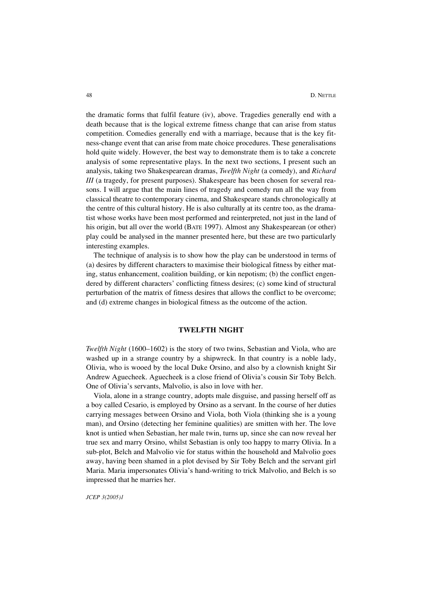the dramatic forms that fulfil feature (iv), above. Tragedies generally end with a death because that is the logical extreme fitness change that can arise from status competition. Comedies generally end with a marriage, because that is the key fitness-change event that can arise from mate choice procedures. These generalisations hold quite widely. However, the best way to demonstrate them is to take a concrete analysis of some representative plays. In the next two sections, I present such an analysis, taking two Shakespearean dramas, *Twelfth Night* (a comedy), and *Richard III* (a tragedy, for present purposes). Shakespeare has been chosen for several reasons. I will argue that the main lines of tragedy and comedy run all the way from classical theatre to contemporary cinema, and Shakespeare stands chronologically at the centre of this cultural history. He is also culturally at its centre too, as the dramatist whose works have been most performed and reinterpreted, not just in the land of his origin, but all over the world (BATE 1997). Almost any Shakespearean (or other) play could be analysed in the manner presented here, but these are two particularly interesting examples.

The technique of analysis is to show how the play can be understood in terms of (a) desires by different characters to maximise their biological fitness by either mating, status enhancement, coalition building, or kin nepotism; (b) the conflict engendered by different characters' conflicting fitness desires; (c) some kind of structural perturbation of the matrix of fitness desires that allows the conflict to be overcome; and (d) extreme changes in biological fitness as the outcome of the action.

# **TWELFTH NIGHT**

*Twelfth Night* (1600–1602) is the story of two twins, Sebastian and Viola, who are washed up in a strange country by a shipwreck. In that country is a noble lady, Olivia, who is wooed by the local Duke Orsino, and also by a clownish knight Sir Andrew Aguecheek. Aguecheek is a close friend of Olivia's cousin Sir Toby Belch. One of Olivia's servants, Malvolio, is also in love with her.

Viola, alone in a strange country, adopts male disguise, and passing herself off as a boy called Cesario, is employed by Orsino as a servant. In the course of her duties carrying messages between Orsino and Viola, both Viola (thinking she is a young man), and Orsino (detecting her feminine qualities) are smitten with her. The love knot is untied when Sebastian, her male twin, turns up, since she can now reveal her true sex and marry Orsino, whilst Sebastian is only too happy to marry Olivia. In a sub-plot, Belch and Malvolio vie for status within the household and Malvolio goes away, having been shamed in a plot devised by Sir Toby Belch and the servant girl Maria. Maria impersonates Olivia's hand-writing to trick Malvolio, and Belch is so impressed that he marries her.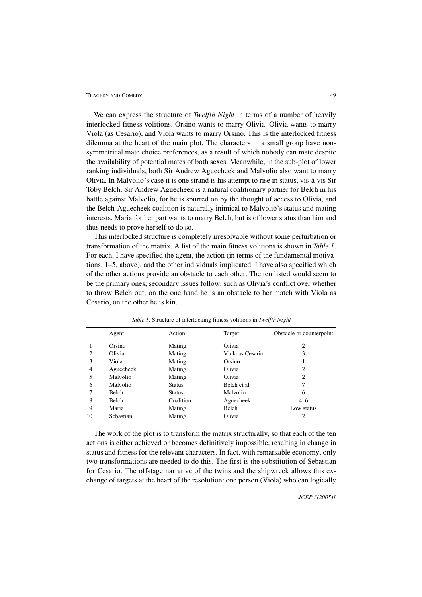We can express the structure of *Twelfth Night* in terms of a number of heavily interlocked fitness volitions. Orsino wants to marry Olivia. Olivia wants to marry Viola (as Cesario), and Viola wants to marry Orsino. This is the interlocked fitness dilemma at the heart of the main plot. The characters in a small group have nonsymmetrical mate choice preferences, as a result of which nobody can mate despite the availability of potential mates of both sexes. Meanwhile, in the sub-plot of lower ranking individuals, both Sir Andrew Aguecheek and Malvolio also want to marry Olivia. In Malvolio's case it is one strand is his attempt to rise in status, vis-à-vis Sir Toby Belch. Sir Andrew Aguecheek is a natural coalitionary partner for Belch in his battle against Malvolio, for he is spurred on by the thought of access to Olivia, and the Belch-Aguecheek coalition is naturally inimical to Malvolio's status and mating interests. Maria for her part wants to marry Belch, but is of lower status than him and thus needs to prove herself to do so.

This interlocked structure is completely irresolvable without some perturbation or transformation of the matrix. A list of the main fitness volitions is shown in *Table 1*. For each, I have specified the agent, the action (in terms of the fundamental motivations, 1–5, above), and the other individuals implicated. I have also specified which of the other actions provide an obstacle to each other. The ten listed would seem to be the primary ones; secondary issues follow, such as Olivia's conflict over whether to throw Belch out; on the one hand he is an obstacle to her match with Viola as Cesario, on the other he is kin.

|    | Agent        | Action        | Target           | Obstacle or counterpoint |
|----|--------------|---------------|------------------|--------------------------|
|    | Orsino       | Mating        | Olivia           | $\overline{c}$           |
| 2  | Olivia       | Mating        | Viola as Cesario | 3                        |
| 3  | Viola        | Mating        | Orsino           |                          |
| 4  | Aguecheek    | Mating        | Olivia           | 2                        |
| 5  | Malvolio     | Mating        | Olivia           | 2                        |
| 6  | Malvolio     | <b>Status</b> | Belch et al.     | 7                        |
| 7  | <b>Belch</b> | <b>Status</b> | Malvolio         | 6                        |
| 8  | <b>Belch</b> | Coalition     | Aguecheek        | 4, 6                     |
| 9  | Maria        | Mating        | <b>Belch</b>     | Low status               |
| 10 | Sebastian    | Mating        | Olivia           | 2                        |

*Table 1.* Structure of interlocking fitness volitions in *Twelfth Night*

The work of the plot is to transform the matrix structurally, so that each of the ten actions is either achieved or becomes definitively impossible, resulting in change in status and fitness for the relevant characters. In fact, with remarkable economy, only two transformations are needed to do this. The first is the substitution of Sebastian for Cesario. The offstage narrative of the twins and the shipwreck allows this exchange of targets at the heart of the resolution: one person (Viola) who can logically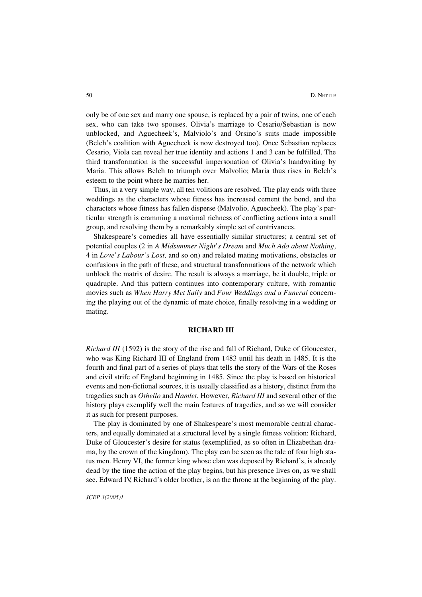only be of one sex and marry one spouse, is replaced by a pair of twins, one of each sex, who can take two spouses. Olivia's marriage to Cesario/Sebastian is now unblocked, and Aguecheek's, Malviolo's and Orsino's suits made impossible (Belch's coalition with Aguecheek is now destroyed too). Once Sebastian replaces Cesario, Viola can reveal her true identity and actions 1 and 3 can be fulfilled. The third transformation is the successful impersonation of Olivia's handwriting by Maria. This allows Belch to triumph over Malvolio; Maria thus rises in Belch's esteem to the point where he marries her.

Thus, in a very simple way, all ten volitions are resolved. The play ends with three weddings as the characters whose fitness has increased cement the bond, and the characters whose fitness has fallen disperse (Malvolio, Aguecheek). The play's particular strength is cramming a maximal richness of conflicting actions into a small group, and resolving them by a remarkably simple set of contrivances.

Shakespeare's comedies all have essentially similar structures; a central set of potential couples (2 in *A Midsummer Night's Dream* and *Much Ado about Nothing,* 4 in *Love's Labour's Lost,* and so on) and related mating motivations, obstacles or confusions in the path of these, and structural transformations of the network which unblock the matrix of desire. The result is always a marriage, be it double, triple or quadruple. And this pattern continues into contemporary culture, with romantic movies such as *When Harry Met Sally* and *Four Weddings and a Funeral* concerning the playing out of the dynamic of mate choice, finally resolving in a wedding or mating.

### **RICHARD III**

*Richard III* (1592) is the story of the rise and fall of Richard, Duke of Gloucester, who was King Richard III of England from 1483 until his death in 1485. It is the fourth and final part of a series of plays that tells the story of the Wars of the Roses and civil strife of England beginning in 1485. Since the play is based on historical events and non-fictional sources, it is usually classified as a history, distinct from the tragedies such as *Othello* and *Hamlet*. However, *Richard III* and several other of the history plays exemplify well the main features of tragedies, and so we will consider it as such for present purposes.

The play is dominated by one of Shakespeare's most memorable central characters, and equally dominated at a structural level by a single fitness volition: Richard, Duke of Gloucester's desire for status (exemplified, as so often in Elizabethan drama, by the crown of the kingdom). The play can be seen as the tale of four high status men. Henry VI, the former king whose clan was deposed by Richard's, is already dead by the time the action of the play begins, but his presence lives on, as we shall see. Edward IV, Richard's older brother, is on the throne at the beginning of the play.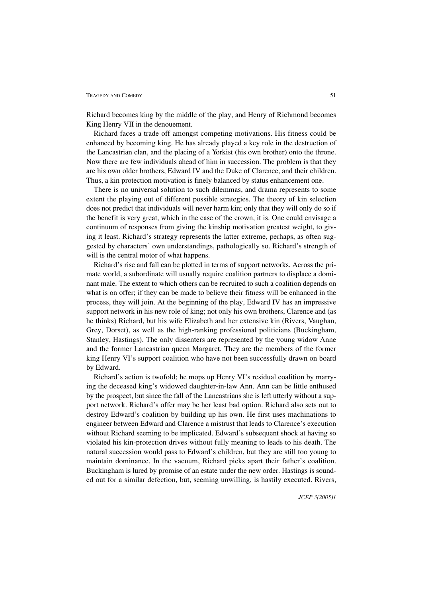Richard becomes king by the middle of the play, and Henry of Richmond becomes King Henry VII in the denouement.

Richard faces a trade off amongst competing motivations. His fitness could be enhanced by becoming king. He has already played a key role in the destruction of the Lancastrian clan, and the placing of a Yorkist (his own brother) onto the throne. Now there are few individuals ahead of him in succession. The problem is that they are his own older brothers, Edward IV and the Duke of Clarence, and their children. Thus, a kin protection motivation is finely balanced by status enhancement one.

There is no universal solution to such dilemmas, and drama represents to some extent the playing out of different possible strategies. The theory of kin selection does not predict that individuals will never harm kin; only that they will only do so if the benefit is very great, which in the case of the crown, it is. One could envisage a continuum of responses from giving the kinship motivation greatest weight, to giving it least. Richard's strategy represents the latter extreme, perhaps, as often suggested by characters' own understandings, pathologically so. Richard's strength of will is the central motor of what happens.

Richard's rise and fall can be plotted in terms of support networks. Across the primate world, a subordinate will usually require coalition partners to displace a dominant male. The extent to which others can be recruited to such a coalition depends on what is on offer; if they can be made to believe their fitness will be enhanced in the process, they will join. At the beginning of the play, Edward IV has an impressive support network in his new role of king; not only his own brothers, Clarence and (as he thinks) Richard, but his wife Elizabeth and her extensive kin (Rivers, Vaughan, Grey, Dorset), as well as the high-ranking professional politicians (Buckingham, Stanley, Hastings). The only dissenters are represented by the young widow Anne and the former Lancastrian queen Margaret. They are the members of the former king Henry VI's support coalition who have not been successfully drawn on board by Edward.

Richard's action is twofold; he mops up Henry VI's residual coalition by marrying the deceased king's widowed daughter-in-law Ann. Ann can be little enthused by the prospect, but since the fall of the Lancastrians she is left utterly without a support network. Richard's offer may be her least bad option. Richard also sets out to destroy Edward's coalition by building up his own. He first uses machinations to engineer between Edward and Clarence a mistrust that leads to Clarence's execution without Richard seeming to be implicated. Edward's subsequent shock at having so violated his kin-protection drives without fully meaning to leads to his death. The natural succession would pass to Edward's children, but they are still too young to maintain dominance. In the vacuum, Richard picks apart their father's coalition. Buckingham is lured by promise of an estate under the new order. Hastings is sounded out for a similar defection, but, seeming unwilling, is hastily executed. Rivers,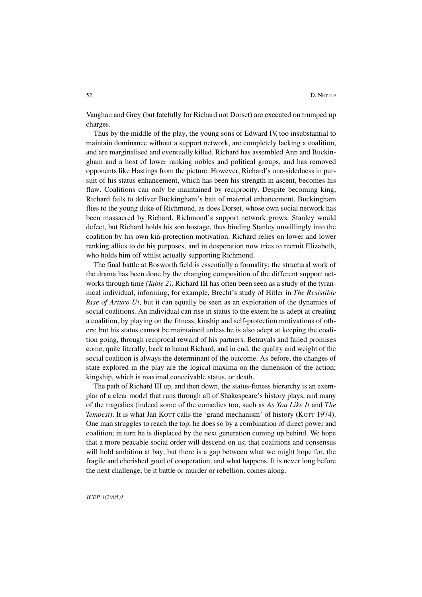Vaughan and Grey (but fatefully for Richard not Dorset) are executed on trumped up charges.

Thus by the middle of the play, the young sons of Edward IV, too insubstantial to maintain dominance without a support network, are completely lacking a coalition, and are marginalised and eventually killed. Richard has assembled Ann and Buckingham and a host of lower ranking nobles and political groups, and has removed opponents like Hastings from the picture. However, Richard's one-sidedness in pursuit of his status enhancement, which has been his strength in ascent, becomes his flaw. Coalitions can only be maintained by reciprocity. Despite becoming king, Richard fails to deliver Buckingham's bait of material enhancement. Buckingham flies to the young duke of Richmond, as does Dorset, whose own social network has been massacred by Richard. Richmond's support network grows. Stanley would defect, but Richard holds his son hostage, thus binding Stanley unwillingly into the coalition by his own kin-protection motivation. Richard relies on lower and lower ranking allies to do his purposes, and in desperation now tries to recruit Elizabeth, who holds him off whilst actually supporting Richmond.

The final battle at Bosworth field is essentially a formality; the structural work of the drama has been done by the changing composition of the different support networks through time *(Table 2)*. Richard III has often been seen as a study of the tyrannical individual, informing, for example, Brecht's study of Hitler in *The Resistible Rise of Arturo Ui,* but it can equally be seen as an exploration of the dynamics of social coalitions. An individual can rise in status to the extent he is adept at creating a coalition, by playing on the fitness, kinship and self-protection motivations of others; but his status cannot be maintained unless he is also adept at keeping the coalition going, through reciprocal reward of his partners. Betrayals and failed promises come, quite literally, back to haunt Richard, and in end, the quality and weight of the social coalition is always the determinant of the outcome. As before, the changes of state explored in the play are the logical maxima on the dimension of the action; kingship, which is maximal conceivable status, or death.

The path of Richard III up, and then down, the status-fitness hierarchy is an exemplar of a clear model that runs through all of Shakespeare's history plays, and many of the tragedies (indeed some of the comedies too, such as *As You Like It* and *The Tempest*). It is what Jan KOTT calls the 'grand mechanism' of history (KOTT 1974). One man struggles to reach the top; he does so by a combination of direct power and coalition; in turn he is displaced by the next generation coming up behind. We hope that a more peacable social order will descend on us; that coalitions and consensus will hold ambition at bay, but there is a gap between what we might hope for, the fragile and cherished good of cooperation, and what happens. It is never long before the next challenge, be it battle or murder or rebellion, comes along.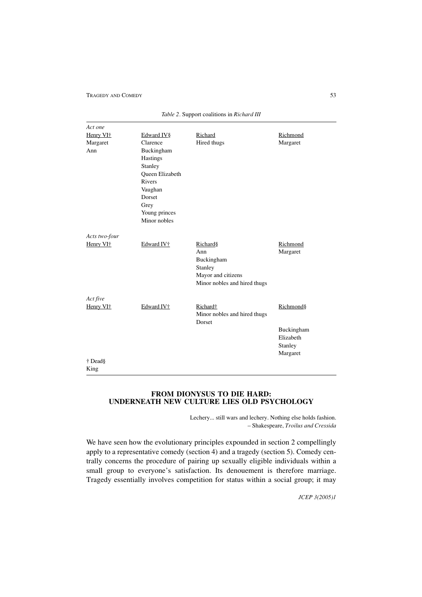| Act one               |                               |                              |                   |
|-----------------------|-------------------------------|------------------------------|-------------------|
| Henry VI <sup>†</sup> | Edward IV§                    | Richard                      | Richmond          |
| Margaret              | Clarence                      | Hired thugs                  | Margaret          |
| Ann                   | Buckingham                    |                              |                   |
|                       | Hastings                      |                              |                   |
|                       | Stanley                       |                              |                   |
|                       | Queen Elizabeth               |                              |                   |
|                       | Rivers                        |                              |                   |
|                       | Vaughan                       |                              |                   |
|                       | Dorset                        |                              |                   |
|                       | Grey                          |                              |                   |
|                       | Young princes<br>Minor nobles |                              |                   |
|                       |                               |                              |                   |
| Acts two-four         |                               |                              |                   |
| Henry VI <sup>†</sup> | Edward IV†                    | Richard§                     | Richmond          |
|                       |                               | Ann                          | Margaret          |
|                       |                               | Buckingham                   |                   |
|                       |                               | Stanley                      |                   |
|                       |                               | Mayor and citizens           |                   |
|                       |                               | Minor nobles and hired thugs |                   |
| Act five              |                               |                              |                   |
| Henry VI <sup>+</sup> | Edward IV <sup>+</sup>        | Richard†                     | <b>Richmond</b> § |
|                       |                               | Minor nobles and hired thugs |                   |
|                       |                               | Dorset                       |                   |
|                       |                               |                              | Buckingham        |
|                       |                               |                              | Elizabeth         |
|                       |                               |                              | Stanley           |
|                       |                               |                              | Margaret          |
| † Dead§               |                               |                              |                   |
| King                  |                               |                              |                   |

*Table 2.* Support coalitions in *Richard III*

# **FROM DIONYSUS TO DIE HARD: UNDERNEATH NEW CULTURE LIES OLD PSYCHOLOGY**

Lechery... still wars and lechery. Nothing else holds fashion. – Shakespeare, *Troilus and Cressida*

We have seen how the evolutionary principles expounded in section 2 compellingly apply to a representative comedy (section 4) and a tragedy (section 5). Comedy centrally concerns the procedure of pairing up sexually eligible individuals within a small group to everyone's satisfaction. Its denouement is therefore marriage. Tragedy essentially involves competition for status within a social group; it may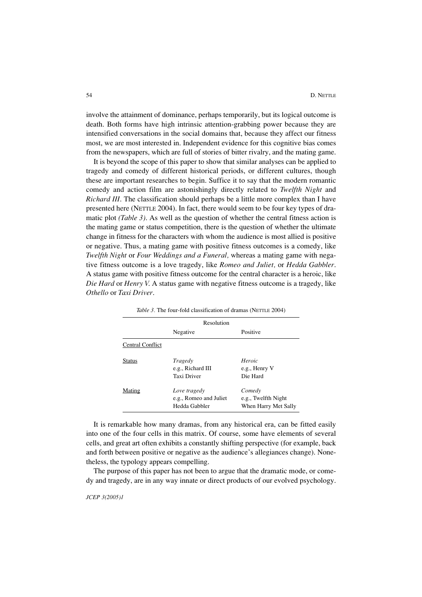involve the attainment of dominance, perhaps temporarily, but its logical outcome is death. Both forms have high intrinsic attention-grabbing power because they are intensified conversations in the social domains that, because they affect our fitness most, we are most interested in. Independent evidence for this cognitive bias comes from the newspapers, which are full of stories of bitter rivalry, and the mating game.

It is beyond the scope of this paper to show that similar analyses can be applied to tragedy and comedy of different historical periods, or different cultures, though these are important researches to begin. Suffice it to say that the modern romantic comedy and action film are astonishingly directly related to *Twelfth Night* and *Richard III*. The classification should perhaps be a little more complex than I have presented here (NETTLE 2004). In fact, there would seem to be four key types of dramatic plot *(Table 3)*. As well as the question of whether the central fitness action is the mating game or status competition, there is the question of whether the ultimate change in fitness for the characters with whom the audience is most allied is positive or negative. Thus, a mating game with positive fitness outcomes is a comedy, like *Twelfth Night* or *Four Weddings and a Funeral,* whereas a mating game with negative fitness outcome is a love tragedy, like *Romeo and Juliet,* or *Hedda Gabbler*. A status game with positive fitness outcome for the central character is a heroic, like *Die Hard* or *Henry V*. A status game with negative fitness outcome is a tragedy, like *Othello* or *Taxi Driver*.

|                  | Resolution                                         |                                     |  |
|------------------|----------------------------------------------------|-------------------------------------|--|
|                  | Negative                                           | Positive                            |  |
| Central Conflict |                                                    |                                     |  |
| Status           | Tragedy<br>e.g., Richard III<br><b>Taxi Driver</b> | Heroic<br>e.g., Henry V<br>Die Hard |  |
| Mating           | Love tragedy<br>e.g., Romeo and Juliet             | Comedy<br>e.g., Twelfth Night       |  |
|                  | Hedda Gabbler                                      | When Harry Met Sally                |  |

*Table 3.* The four-fold classification of dramas (NETTLE 2004)

It is remarkable how many dramas, from any historical era, can be fitted easily into one of the four cells in this matrix. Of course, some have elements of several cells, and great art often exhibits a constantly shifting perspective (for example, back and forth between positive or negative as the audience's allegiances change). Nonetheless, the typology appears compelling.

The purpose of this paper has not been to argue that the dramatic mode, or comedy and tragedy, are in any way innate or direct products of our evolved psychology.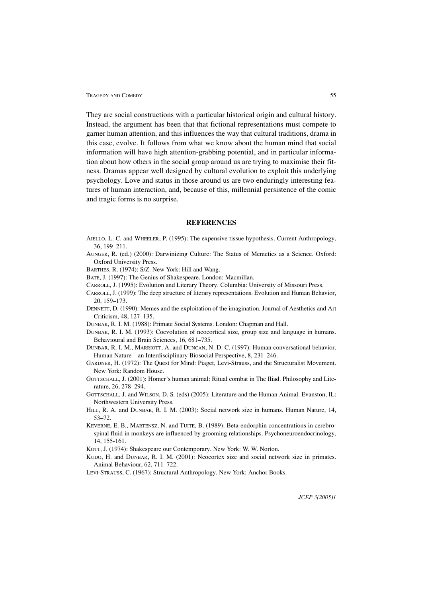They are social constructions with a particular historical origin and cultural history. Instead, the argument has been that that fictional representations must compete to garner human attention, and this influences the way that cultural traditions, drama in this case, evolve. It follows from what we know about the human mind that social information will have high attention-grabbing potential, and in particular information about how others in the social group around us are trying to maximise their fitness. Dramas appear well designed by cultural evolution to exploit this underlying psychology. Love and status in those around us are two enduringly interesting features of human interaction, and, because of this, millennial persistence of the comic and tragic forms is no surprise.

### **REFERENCES**

- AIELLO, L. C. and WHEELER, P. (1995): The expensive tissue hypothesis. Current Anthropology, 36, 199–211.
- AUNGER, R. (ed.) (2000): Darwinizing Culture: The Status of Memetics as a Science. Oxford: Oxford University Press.
- BARTHES, R. (1974): S/Z. New York: Hill and Wang.
- BATE, J. (1997): The Genius of Shakespeare. London: Macmillan.
- CARROLL, J. (1995): Evolution and Literary Theory. Columbia: University of Missouri Press.
- CARROLL, J. (1999): The deep structure of literary representations. Evolution and Human Behavior, 20, 159–173.
- DENNETT, D. (1990): Memes and the exploitation of the imagination. Journal of Aesthetics and Art Criticism, 48, 127–135.
- DUNBAR, R. I. M. (1988): Primate Social Systems. London: Chapman and Hall.
- DUNBAR, R. I. M. (1993): Coevolution of neocortical size, group size and language in humans. Behavioural and Brain Sciences, 16, 681–735.
- DUNBAR, R. I. M., MARRIOTT, A. and DUNCAN, N. D. C. (1997): Human conversational behavior. Human Nature – an Interdisciplinary Biosocial Perspective, 8, 231–246.
- GARDNER, H. (1972): The Quest for Mind: Piaget, Levi-Strauss, and the Structuralist Movement. New York: Random House.
- GOTTSCHALL, J. (2001): Homer's human animal: Ritual combat in The Iliad. Philosophy and Literature, 26, 278–294.
- GOTTSCHALL, J. and WILSON, D. S. (eds) (2005): Literature and the Human Animal. Evanston, IL: Northwestern University Press.
- HILL, R. A. and DUNBAR, R. I. M. (2003): Social network size in humans. Human Nature, 14, 53–72.
- KEVERNE, E. B., MARTENSZ, N. and TUITE, B. (1989): Beta-endorphin concentrations in cerebrospinal fluid in monkeys are influenced by grooming relationships. Psychoneuroendocrinology, 14, 155-161.
- KOTT, J. (1974): Shakespeare our Contemporary. New York: W. W. Norton.
- KUDO, H. and DUNBAR, R. I. M. (2001): Neocortex size and social network size in primates. Animal Behaviour, 62, 711–722.
- LEVI-STRAUSS, C. (1967): Structural Anthropology. New York: Anchor Books.